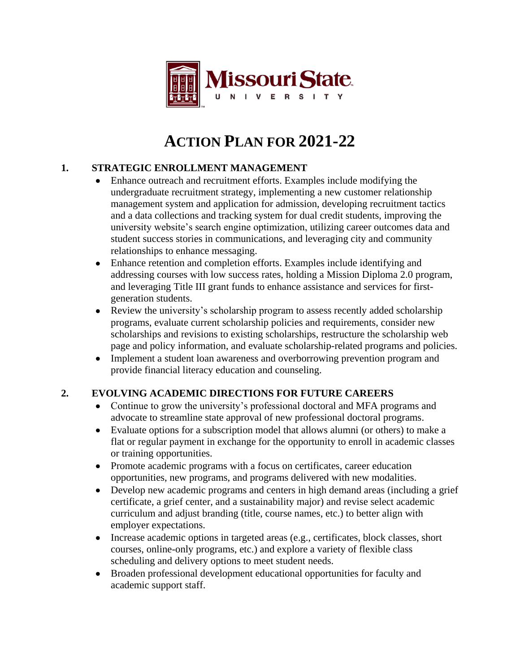

# **ACTION PLAN FOR 2021-22**

# **1. STRATEGIC ENROLLMENT MANAGEMENT**

- Enhance outreach and recruitment efforts. Examples include modifying the undergraduate recruitment strategy, implementing a new customer relationship management system and application for admission, developing recruitment tactics and a data collections and tracking system for dual credit students, improving the university website's search engine optimization, utilizing career outcomes data and student success stories in communications, and leveraging city and community relationships to enhance messaging.
- Enhance retention and completion efforts. Examples include identifying and addressing courses with low success rates, holding a Mission Diploma 2.0 program, and leveraging Title III grant funds to enhance assistance and services for firstgeneration students.
- Review the university's scholarship program to assess recently added scholarship programs, evaluate current scholarship policies and requirements, consider new scholarships and revisions to existing scholarships, restructure the scholarship web page and policy information, and evaluate scholarship-related programs and policies.
- Implement a student loan awareness and overborrowing prevention program and provide financial literacy education and counseling.

#### **2. EVOLVING ACADEMIC DIRECTIONS FOR FUTURE CAREERS**

- Continue to grow the university's professional doctoral and MFA programs and advocate to streamline state approval of new professional doctoral programs.
- Evaluate options for a subscription model that allows alumni (or others) to make a flat or regular payment in exchange for the opportunity to enroll in academic classes or training opportunities.
- Promote academic programs with a focus on certificates, career education opportunities, new programs, and programs delivered with new modalities.
- Develop new academic programs and centers in high demand areas (including a grief certificate, a grief center, and a sustainability major) and revise select academic curriculum and adjust branding (title, course names, etc.) to better align with employer expectations.
- Increase academic options in targeted areas (e.g., certificates, block classes, short courses, online-only programs, etc.) and explore a variety of flexible class scheduling and delivery options to meet student needs.
- Broaden professional development educational opportunities for faculty and academic support staff.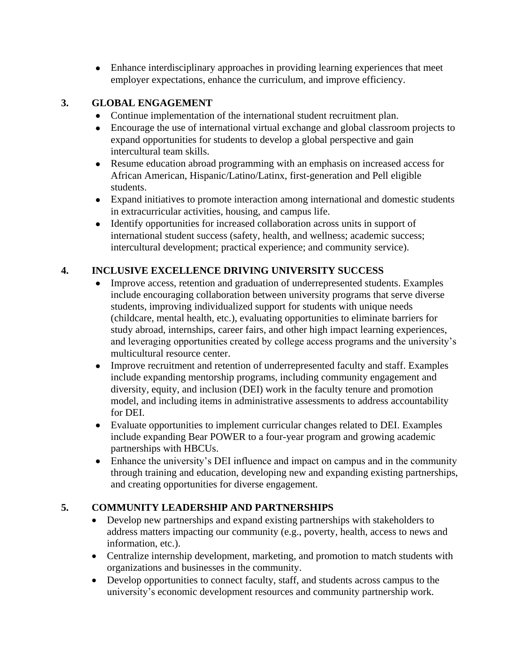Enhance interdisciplinary approaches in providing learning experiences that meet employer expectations, enhance the curriculum, and improve efficiency.

### **3. GLOBAL ENGAGEMENT**

- Continue implementation of the international student recruitment plan.
- Encourage the use of international virtual exchange and global classroom projects to expand opportunities for students to develop a global perspective and gain intercultural team skills.
- Resume education abroad programming with an emphasis on increased access for African American, Hispanic/Latino/Latinx, first-generation and Pell eligible students.
- Expand initiatives to promote interaction among international and domestic students in extracurricular activities, housing, and campus life.
- Identify opportunities for increased collaboration across units in support of international student success (safety, health, and wellness; academic success; intercultural development; practical experience; and community service).

#### **4. INCLUSIVE EXCELLENCE DRIVING UNIVERSITY SUCCESS**

- Improve access, retention and graduation of underrepresented students. Examples include encouraging collaboration between university programs that serve diverse students, improving individualized support for students with unique needs (childcare, mental health, etc.), evaluating opportunities to eliminate barriers for study abroad, internships, career fairs, and other high impact learning experiences, and leveraging opportunities created by college access programs and the university's multicultural resource center.
- Improve recruitment and retention of underrepresented faculty and staff. Examples include expanding mentorship programs, including community engagement and diversity, equity, and inclusion (DEI) work in the faculty tenure and promotion model, and including items in administrative assessments to address accountability for DEI.
- Evaluate opportunities to implement curricular changes related to DEI. Examples include expanding Bear POWER to a four-year program and growing academic partnerships with HBCUs.
- Enhance the university's DEI influence and impact on campus and in the community through training and education, developing new and expanding existing partnerships, and creating opportunities for diverse engagement.

#### **5. COMMUNITY LEADERSHIP AND PARTNERSHIPS**

- Develop new partnerships and expand existing partnerships with stakeholders to address matters impacting our community (e.g., poverty, health, access to news and information, etc.).
- Centralize internship development, marketing, and promotion to match students with organizations and businesses in the community.
- Develop opportunities to connect faculty, staff, and students across campus to the university's economic development resources and community partnership work.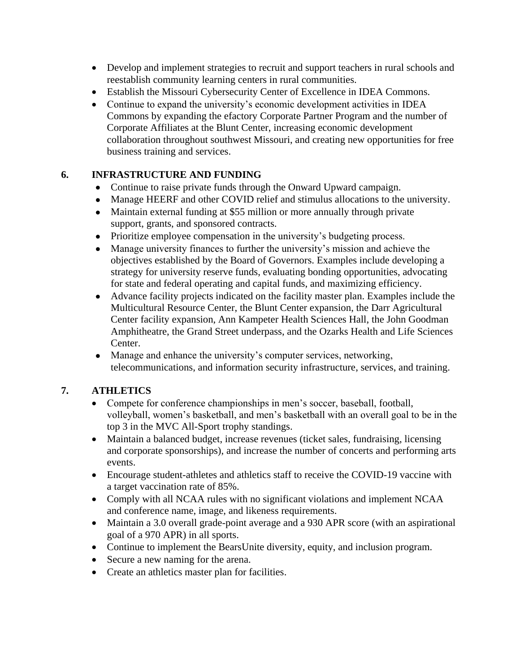- Develop and implement strategies to recruit and support teachers in rural schools and reestablish community learning centers in rural communities.
- Establish the Missouri Cybersecurity Center of Excellence in IDEA Commons.
- Continue to expand the university's economic development activities in IDEA Commons by expanding the efactory Corporate Partner Program and the number of Corporate Affiliates at the Blunt Center, increasing economic development collaboration throughout southwest Missouri, and creating new opportunities for free business training and services.

## **6. INFRASTRUCTURE AND FUNDING**

- Continue to raise private funds through the Onward Upward campaign.
- Manage HEERF and other COVID relief and stimulus allocations to the university.
- Maintain external funding at \$55 million or more annually through private support, grants, and sponsored contracts.
- Prioritize employee compensation in the university's budgeting process.
- Manage university finances to further the university's mission and achieve the objectives established by the Board of Governors. Examples include developing a strategy for university reserve funds, evaluating bonding opportunities, advocating for state and federal operating and capital funds, and maximizing efficiency.
- Advance facility projects indicated on the facility master plan. Examples include the Multicultural Resource Center, the Blunt Center expansion, the Darr Agricultural Center facility expansion, Ann Kampeter Health Sciences Hall, the John Goodman Amphitheatre, the Grand Street underpass, and the Ozarks Health and Life Sciences Center.
- Manage and enhance the university's computer services, networking, telecommunications, and information security infrastructure, services, and training.

# **7. ATHLETICS**

- Compete for conference championships in men's soccer, baseball, football, volleyball, women's basketball, and men's basketball with an overall goal to be in the top 3 in the MVC All-Sport trophy standings.
- Maintain a balanced budget, increase revenues (ticket sales, fundraising, licensing and corporate sponsorships), and increase the number of concerts and performing arts events.
- Encourage student-athletes and athletics staff to receive the COVID-19 vaccine with a target vaccination rate of 85%.
- Comply with all NCAA rules with no significant violations and implement NCAA and conference name, image, and likeness requirements.
- Maintain a 3.0 overall grade-point average and a 930 APR score (with an aspirational goal of a 970 APR) in all sports.
- Continue to implement the BearsUnite diversity, equity, and inclusion program.
- Secure a new naming for the arena.
- Create an athletics master plan for facilities.